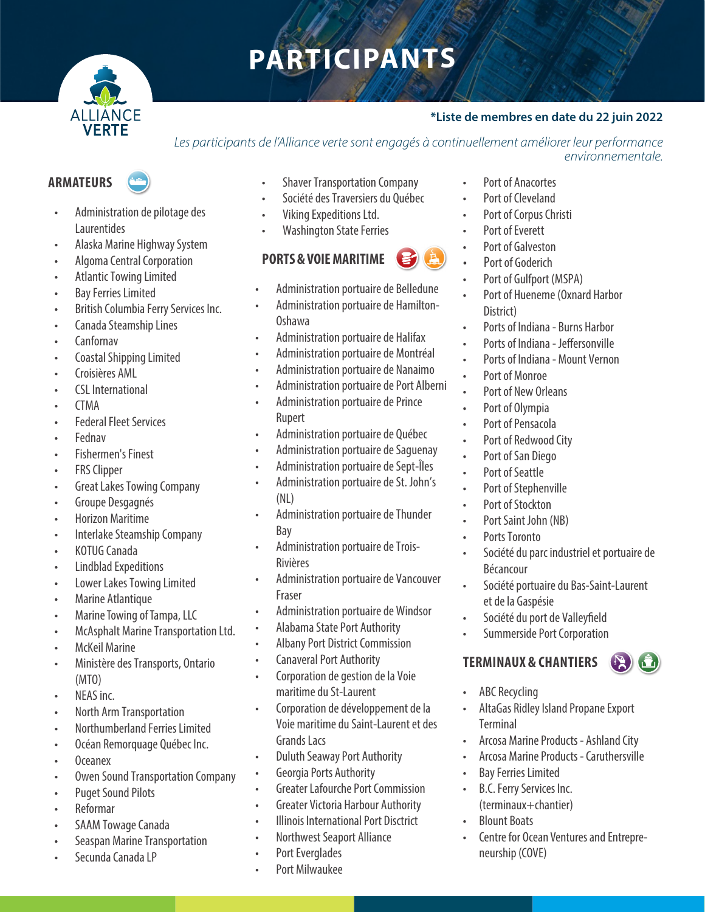# **PARTICIPANTS**



### **\*Liste de membres en date du 22 juin 2022**

*Les participants de l'Alliance verte sont engagés à continuellement améliorer leur performance environnementale.*

- Administration de pilotage des Laurentides
- Alaska Marine Highway System
- Algoma Central Corporation
- Atlantic Towing Limited
- Bay Ferries Limited
- British Columbia Ferry Services Inc.
- Canada Steamship Lines
- Canfornav
- Coastal Shipping Limited
- Croisières AML
- CSL International
- CTMA
- **Federal Fleet Services**
- Fednav
- Fishermen's Finest
- FRS Clipper
- Great Lakes Towing Company
- Groupe Desgagnés
- Horizon Maritime
- Interlake Steamship Company
- KOTUG Canada
- Lindblad Expeditions
- Lower Lakes Towing Limited
- Marine Atlantique
- Marine Towing of Tampa, LLC
- McAsphalt Marine Transportation Ltd.
- **McKeil Marine**
- Ministère des Transports, Ontario (MTO)
- NEAS inc.
- North Arm Transportation
- Northumberland Ferries Limited
- Océan Remorquage Québec Inc.
- Oceanex
- Owen Sound Transportation Company
- Puget Sound Pilots
- Reformar
- SAAM Towage Canada
- Seaspan Marine Transportation
- Secunda Canada LP
- Shaver Transportation Company
- Société des Traversiers du Québec

• Administration portuaire de Belledune • Administration portuaire de Hamilton-

• Administration portuaire de Halifax • Administration portuaire de Montréal • Administration portuaire de Nanaimo • Administration portuaire de Port Alberni • Administration portuaire de Prince

• Administration portuaire de Québec • Administration portuaire de Saguenay • Administration portuaire de Sept-Îles • Administration portuaire de St. John's

• Administration portuaire de Thunder

• Administration portuaire de Trois-

• Administration portuaire de Windsor • Alabama State Port Authority • Albany Port District Commission • Canaveral Port Authority

• Corporation de gestion de la Voie

• Corporation de développement de la Voie maritime du Saint-Laurent et des

• Greater Lafourche Port Commission • Greater Victoria Harbour Authority • Illinois International Port Disctrict • Northwest Seaport Alliance

maritime du St-Laurent

• Duluth Seaway Port Authority • Georgia Ports Authority

• Administration portuaire de Vancouver

- Viking Expeditions Ltd.
- Washington State Ferries

# **PORTS & VOIE MARITIME**

Oshawa

Rupert

(NL)

Bay

Rivières

Fraser

- 
- 
- - Port of Goderich
	- Port of Gulfport (MSPA)

Port of Anacortes Port of Cleveland Port of Corpus Christi Port of Everett Port of Galveston

- Port of Hueneme (Oxnard Harbor District)
- Ports of Indiana Burns Harbor
- Ports of Indiana Jeffersonville
- Ports of Indiana Mount Vernon
- Port of Monroe
- Port of New Orleans
- Port of Olympia
- Port of Pensacola
- Port of Redwood City
- Port of San Diego
- Port of Seattle
- Port of Stephenville
- Port of Stockton
- Port Saint John (NB)
- Ports Toronto
- Société du parc industriel et portuaire de Bécancour
- Société portuaire du Bas-Saint-Laurent et de la Gaspésie
- Société du port de Valleyfield
- Summerside Port Corporation

#### **TERMINAUX & CHANTIERS**  $\left(\frac{1}{2}\right)$  ( $\sum$

- ABC Recycling
- AltaGas Ridley Island Propane Export **Terminal**
- Arcosa Marine Products Ashland City
- Arcosa Marine Products Caruthersville
- **Bay Ferries Limited**
- B.C. Ferry Services Inc. (terminaux+chantier)
- Blount Boats
- Centre for Ocean Ventures and Entrepreneurship (COVE)

• Port Everglades • Port Milwaukee

Grands Lacs

# **ARMATEURS**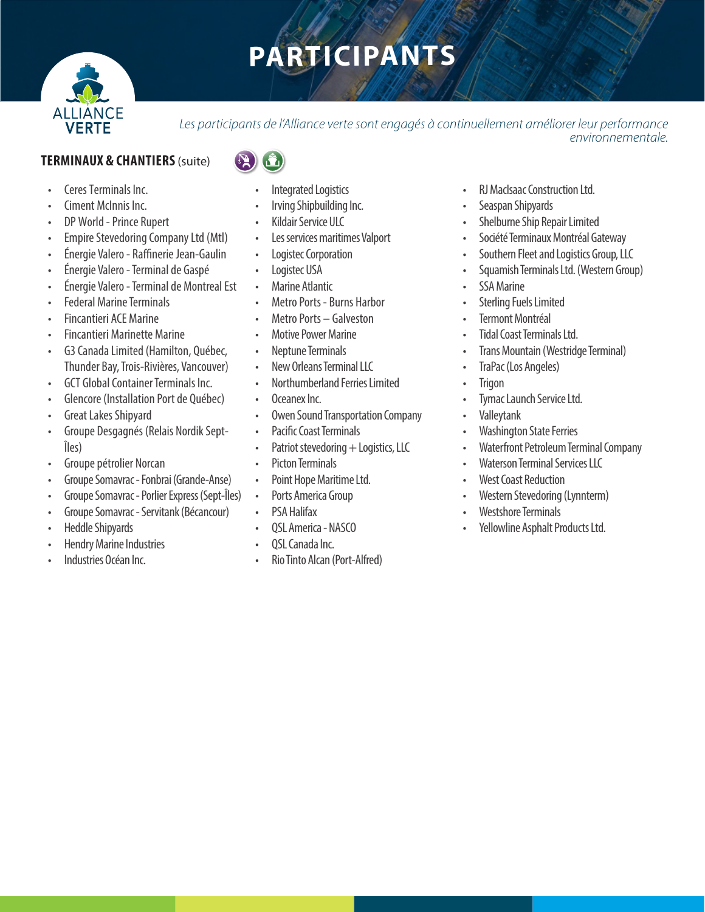# **PARTICIPANTS**



Les participants de l'Alliance verte sont engagés à continuellement améliorer leur performance *environnementale.*

## **TERMINAUX & CHANTIERS** (suite)

- Ceres Terminals Inc.
- Ciment McInnis Inc.
- DP World Prince Rupert
- Empire Stevedoring Company Ltd (Mtl)
- Énergie Valero Raffinerie Jean-Gaulin
- Énergie Valero Terminal de Gaspé
- Énergie Valero Terminal de Montreal Est
- Federal Marine Terminals
- Fincantieri ACE Marine
- Fincantieri Marinette Marine
- G3 Canada Limited (Hamilton, Québec, Thunder Bay, Trois-Rivières, Vancouver)
- GCT Global Container Terminals Inc.
- Glencore (Installation Port de Québec)
- Great Lakes Shipyard
- Groupe Desgagnés (Relais Nordik Sept-Îles)
- Groupe pétrolier Norcan
- Groupe Somavrac Fonbrai (Grande-Anse)
- Groupe Somavrac Porlier Express (Sept-Îles)
- Groupe Somavrac Servitank (Bécancour)
- Heddle Shipyards
- Hendry Marine Industries
- Industries Océan Inc.
- - Integrated Logistics
	- Irving Shipbuilding Inc.
	- Kildair Service ULC
	- Les services maritimes Valport
	- Logistec Corporation
	- Logistec USA
	- Marine Atlantic
	- Metro Ports Burns Harbor
	- Metro Ports Galveston
	- Motive Power Marine
	- Neptune Terminals
	- New Orleans Terminal LLC
	- Northumberland Ferries Limited
	- Oceanex Inc.
	- Owen Sound Transportation Company
	- Pacific Coast Terminals
	- Patriot stevedoring  $+$  Logistics, LLC
	- Picton Terminals
	- Point Hope Maritime Ltd.
	- Ports America Group
	- PSA Halifax
	- QSL America NASCO
	- OSL Canada Inc.
	- Rio Tinto Alcan (Port-Alfred)
- RJ MacIsaac Construction Ltd.
- Seaspan Shipyards
- Shelburne Ship Repair Limited
- Société Terminaux Montréal Gateway
- Southern Fleet and Logistics Group, LLC
- Squamish Terminals Ltd. (Western Group)
- SSA Marine
- **Sterling Fuels Limited**
- **Termont Montréal**
- Tidal Coast Terminals Ltd.
- Trans Mountain (Westridge Terminal)
- TraPac (Los Angeles)
- Trigon
- Tymac Launch Service Ltd.
- Valleytank
- Washington State Ferries
- Waterfront Petroleum Terminal Company
- Waterson Terminal Services LLC
- **West Coast Reduction**
- Western Stevedoring (Lynnterm)
- Westshore Terminals
- Yellowline Asphalt Products Ltd.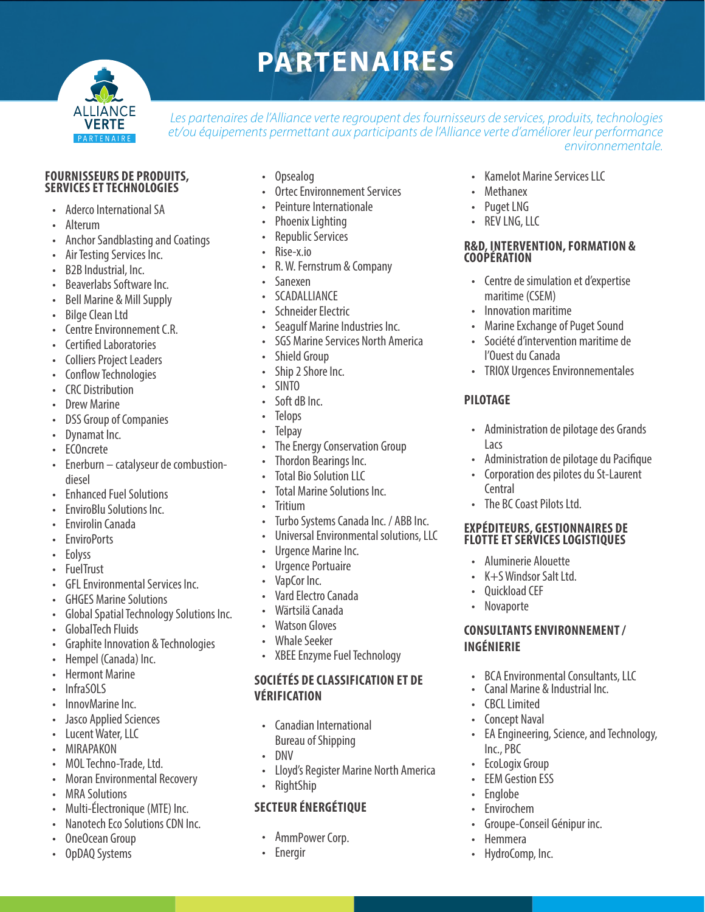# **PARTENAIRES**



Les partenaires de l'Alliance verte regroupent des fournisseurs de services, produits, technologies *et/ou équipements permettant aux participants de l'Alliance verte d'améliorer leur performance environnementale.*

#### **FOURNISSEURS DE PRODUITS, SERVICES ET TECHNOLOGIES**

- Aderco International SA
- Alterum
- Anchor Sandblasting and Coatings
- Air Testing Services Inc.
- B2B Industrial, Inc.
- Beaverlabs Software Inc.
- Bell Marine & Mill Supply
- Bilge Clean Ltd
- Centre Environnement C.R.
- Certified Laboratories
- Colliers Project Leaders
- Conflow Technologies
- CRC Distribution
- Drew Marine
- DSS Group of Companies
- Dynamat Inc.
- ECOncrete
- Enerburn catalyseur de combustiondiesel
- Enhanced Fuel Solutions
- EnviroBlu Solutions Inc.
- Envirolin Canada
- EnviroPorts
- Eolyss
- FuelTrust
- GFL Environmental Services Inc.
- GHGES Marine Solutions
- Global Spatial Technology Solutions Inc.
- GlobalTech Fluids
- Graphite Innovation & Technologies
- Hempel (Canada) Inc.
- Hermont Marine
- InfraSOLS
- InnovMarine Inc.
- Jasco Applied Sciences
- Lucent Water, LLC
- MIRAPAKON
- MOL Techno-Trade, Ltd.
- Moran Environmental Recovery
- MRA Solutions
- Multi-Électronique (MTE) Inc.
- Nanotech Eco Solutions CDN Inc.
- OneOcean Group
- OpDAQ Systems
- Opsealog
- **Ortec Environnement Services**
- Peinture Internationale
- Phoenix Lighting
- Republic Services
- Rise-x.io
- R. W. Fernstrum & Company
- Sanexen
- **SCADALLIANCE**
- Schneider Electric
- Seagulf Marine Industries Inc.
- **SGS Marine Services North America**
- **Shield Group**
- Ship 2 Shore Inc.
- SINTO
- Soft dB Inc.
- Telops
- **Telpay**
- The Energy Conservation Group
- Thordon Bearings Inc.
- **Total Bio Solution LLC**
- Total Marine Solutions Inc.
- **Tritium**
- Turbo Systems Canada Inc. / ABB Inc.
- Universal Environmental solutions, LLC
- Urgence Marine Inc.
- Urgence Portuaire
- VapCor Inc.
- Vard Electro Canada
- Wärtsilä Canada
- Watson Gloves
- Whale Seeker
- XBEE Enzyme Fuel Technology

### **SOCIÉTÉS DE CLASSIFICATION ET DE VÉRIFICATION**

- Canadian International Bureau of Shipping
- DNV
- Lloyd's Register Marine North America
- RightShip

### **SECTEUR ÉNERGÉTIQUE**

- AmmPower Corp.
- **Energir**
- Kamelot Marine Services LLC
- **Methanex**
- Puget LNG
- REV LNG, LLC

#### **R&D, INTERVENTION, FORMATION & COOPÉRATION**

- Centre de simulation et d'expertise maritime (CSEM)
- Innovation maritime
- Marine Exchange of Puget Sound
- Société d'intervention maritime de l'Ouest du Canada
- TRIOX Urgences Environnementales

### **PILOTAGE**

**Central** 

**INGÉNIERIE**

• CBCL Limited **Concept Naval** 

Inc., PBC • EcoLogix Group **EEM Gestion ESS** • Englobe **Envirochem** 

• Hemmera • HydroComp, Inc.

• The BC Coast Pilots Ltd.

• Aluminerie Alouette • K+S Windsor Salt Ltd. • Quickload CEF • Novaporte

**EXPÉDITEURS, GESTIONNAIRES DE FLOTTE ET SERVICES LOGISTIQUES**

**CONSULTANTS ENVIRONNEMENT /** 

• BCA Environmental Consultants, LLC<br>• Canal Marine & Industrial Inc.

• EA Engineering, Science, and Technology,

• Groupe-Conseil Génipur inc.

• Administration de pilotage des Grands Lacs

• Administration de pilotage du Pacifique • Corporation des pilotes du St-Laurent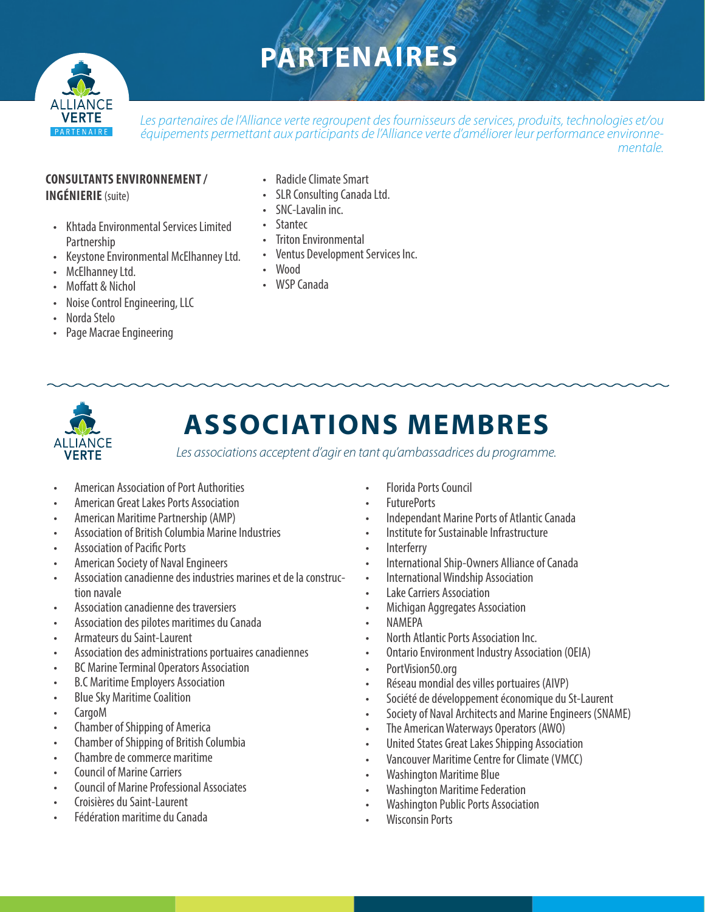# **PARTENAIRES**



*Les partenaires de l'Alliance verte regroupent des fournisseurs de services, produits, technologies et/ou équipements permettant aux participants de l'Alliance verte d'améliorer leur performance environnementale.*

#### **CONSULTANTS ENVIRONNEMENT / INGÉNIERIE**(suite)

- Khtada Environmental Services Limited Partnership
- Keystone Environmental McElhanney Ltd.
- McElhanney Ltd.
- Moffatt & Nichol
- Noise Control Engineering, LLC
- Norda Stelo
- Page Macrae Engineering
- Radicle Climate Smart
- SLR Consulting Canada Ltd.
- SNC-Lavalin inc.
- Stantec
- Triton Environmental
- Ventus Development Services Inc.
- Wood
- WSP Canada



# **ASSOCIATIONS MEMBRES**

*Les associations acceptent d'agir en tant qu'ambassadrices du programme.*

- American Association of Port Authorities
- American Great Lakes Ports Association
- American Maritime Partnership (AMP)
- Association of British Columbia Marine Industries
- Association of Pacific Ports
- American Society of Naval Engineers
- Association canadienne des industries marines et de la construction navale
- Association canadienne des traversiers
- Association des pilotes maritimes du Canada
- Armateurs du Saint-Laurent
- Association des administrations portuaires canadiennes
- BC Marine Terminal Operators Association
- B.C Maritime Employers Association
- Blue Sky Maritime Coalition
- CargoM
- Chamber of Shipping of America
- Chamber of Shipping of British Columbia
- Chambre de commerce maritime
- Council of Marine Carriers
- Council of Marine Professional Associates
- Croisières du Saint-Laurent
- Fédération maritime du Canada
- Florida Ports Council
- FuturePorts
- Independant Marine Ports of Atlantic Canada
- Institute for Sustainable Infrastructure
- **Interferry**
- International Ship-Owners Alliance of Canada
- International Windship Association
- Lake Carriers Association
- Michigan Aggregates Association
- NAMEPA
- North Atlantic Ports Association Inc.
- Ontario Environment Industry Association (OEIA)
- PortVision50.org
- Réseau mondial des villes portuaires (AIVP)
- Société de développement économique du St-Laurent
- Society of Naval Architects and Marine Engineers (SNAME)
- The American Waterways Operators (AWO)
- United States Great Lakes Shipping Association
- Vancouver Maritime Centre for Climate (VMCC)
- Washington Maritime Blue
- Washington Maritime Federation
- Washington Public Ports Association
- Wisconsin Ports